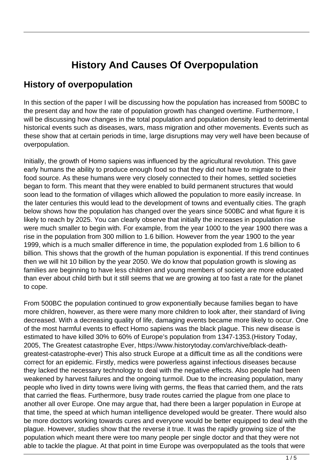## **History And Causes Of Overpopulation**

## **History of overpopulation**

In this section of the paper I will be discussing how the population has increased from 500BC to the present day and how the rate of population growth has changed overtime. Furthermore, I will be discussing how changes in the total population and population density lead to detrimental historical events such as diseases, wars, mass migration and other movements. Events such as these show that at certain periods in time, large disruptions may very well have been because of overpopulation.

Initially, the growth of Homo sapiens was influenced by the agricultural revolution. This gave early humans the ability to produce enough food so that they did not have to migrate to their food source. As these humans were very closely connected to their homes, settled societies began to form. This meant that they were enabled to build permanent structures that would soon lead to the formation of villages which allowed the population to more easily increase. In the later centuries this would lead to the development of towns and eventually cities. The graph below shows how the population has changed over the years since 500BC and what figure it is likely to reach by 2025. You can clearly observe that initially the increases in population rise were much smaller to begin with. For example, from the year 1000 to the year 1900 there was a rise in the population from 300 million to 1.6 billion. However from the year 1900 to the year 1999, which is a much smaller difference in time, the population exploded from 1.6 billion to 6 billion. This shows that the growth of the human population is exponential. If this trend continues then we will hit 10 billion by the year 2050. We do know that population growth is slowing as families are beginning to have less children and young members of society are more educated than ever about child birth but it still seems that we are growing at too fast a rate for the planet to cope.

From 500BC the population continued to grow exponentially because families began to have more children, however, as there were many more children to look after, their standard of living decreased. With a decreasing quality of life, damaging events became more likely to occur. One of the most harmful events to effect Homo sapiens was the black plague. This new disease is estimated to have killed 30% to 60% of Europe's population from 1347-1353.(History Today, 2005, The Greatest catastrophe Ever, https://www.historytoday.com/archive/black-deathgreatest-catastrophe-ever) This also struck Europe at a difficult time as all the conditions were correct for an epidemic. Firstly, medics were powerless against infectious diseases because they lacked the necessary technology to deal with the negative effects. Also people had been weakened by harvest failures and the ongoing turmoil. Due to the increasing population, many people who lived in dirty towns were living with germs, the fleas that carried them, and the rats that carried the fleas. Furthermore, busy trade routes carried the plague from one place to another all over Europe. One may argue that, had there been a larger population in Europe at that time, the speed at which human intelligence developed would be greater. There would also be more doctors working towards cures and everyone would be better equipped to deal with the plague. However, studies show that the reverse it true. It was the rapidly growing size of the population which meant there were too many people per single doctor and that they were not able to tackle the plague. At that point in time Europe was overpopulated as the tools that were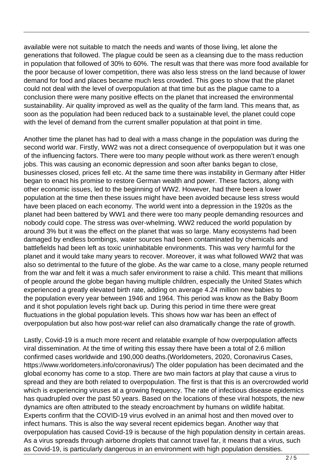available were not suitable to match the needs and wants of those living, let alone the generations that followed. The plague could be seen as a cleansing due to the mass reduction in population that followed of 30% to 60%. The result was that there was more food available for the poor because of lower competition, there was also less stress on the land because of lower demand for food and places became much less crowded. This goes to show that the planet could not deal with the level of overpopulation at that time but as the plague came to a conclusion there were many positive effects on the planet that increased the environmental sustainability. Air quality improved as well as the quality of the farm land. This means that, as soon as the population had been reduced back to a sustainable level, the planet could cope with the level of demand from the current smaller population at that point in time.

Another time the planet has had to deal with a mass change in the population was during the second world war. Firstly, WW2 was not a direct consequence of overpopulation but it was one of the influencing factors. There were too many people without work as there weren't enough jobs. This was causing an economic depression and soon after banks began to close, businesses closed, prices fell etc. At the same time there was instability in Germany after Hitler began to enact his promise to restore German wealth and power. These factors, along with other economic issues, led to the beginning of WW2. However, had there been a lower population at the time then these issues might have been avoided because less stress would have been placed on each economy. The world went into a depression in the 1920s as the planet had been battered by WW1 and there were too many people demanding resources and nobody could cope. The stress was over-whelming. WW2 reduced the world population by around 3% but it was the effect on the planet that was so large. Many ecosystems had been damaged by endless bombings, water sources had been contaminated by chemicals and battlefields had been left as toxic uninhabitable environments. This was very harmful for the planet and it would take many years to recover. Moreover, it was what followed WW2 that was also so detrimental to the future of the globe. As the war came to a close, many people returned from the war and felt it was a much safer environment to raise a child. This meant that millions of people around the globe began having multiple children, especially the United States which experienced a greatly elevated birth rate, adding on average 4.24 million new babies to the population every year between 1946 and 1964. This period was know as the Baby Boom and it shot population levels right back up. During this period in time there were great fluctuations in the global population levels. This shows how war has been an effect of overpopulation but also how post-war relief can also dramatically change the rate of growth.

Lastly, Covid-19 is a much more recent and relatable example of how overpopulation affects viral dissemination. At the time of writing this essay there have been a total of 2.6 million confirmed cases worldwide and 190,000 deaths.(Worldometers, 2020, Coronavirus Cases, https://www.worldometers.info/coronavirus/) The older population has been decimated and the global economy has come to a stop. There are two main factors at play that cause a virus to spread and they are both related to overpopulation. The first is that this is an overcrowded world which is experiencing viruses at a growing frequency. The rate of infectious disease epidemics has quadrupled over the past 50 years. Based on the locations of these viral hotspots, the new dynamics are often attributed to the steady encroachment by humans on wildlife habitat. Experts confirm that the COVID-19 virus evolved in an animal host and then moved over to infect humans. This is also the way several recent epidemics began. Another way that overpopulation has caused Covid-19 is because of the high population density in certain areas. As a virus spreads through airborne droplets that cannot travel far, it means that a virus, such as Covid-19, is particularly dangerous in an environment with high population densities.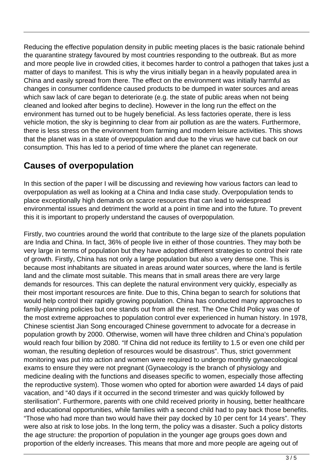Reducing the effective population density in public meeting places is the basic rationale behind the quarantine strategy favoured by most countries responding to the outbreak. But as more and more people live in crowded cities, it becomes harder to control a pathogen that takes just a matter of days to manifest. This is why the virus initially began in a heavily populated area in China and easily spread from there. The effect on the environment was initially harmful as changes in consumer confidence caused products to be dumped in water sources and areas which saw lack of care began to deteriorate (e.g. the state of public areas when not being cleaned and looked after begins to decline). However in the long run the effect on the environment has turned out to be hugely beneficial. As less factories operate, there is less vehicle motion, the sky is beginning to clear from air pollution as are the waters. Furthermore, there is less stress on the environment from farming and modern leisure activities. This shows that the planet was in a state of overpopulation and due to the virus we have cut back on our consumption. This has led to a period of time where the planet can regenerate.

## **Causes of overpopulation**

In this section of the paper I will be discussing and reviewing how various factors can lead to overpopulation as well as looking at a China and India case study. Overpopulation tends to place exceptionally high demands on scarce resources that can lead to widespread environmental issues and detriment the world at a point in time and into the future. To prevent this it is important to properly understand the causes of overpopulation.

Firstly, two countries around the world that contribute to the large size of the planets population are India and China. In fact, 36% of people live in either of those countries. They may both be very large in terms of population but they have adopted different strategies to control their rate of growth. Firstly, China has not only a large population but also a very dense one. This is because most inhabitants are situated in areas around water sources, where the land is fertile land and the climate most suitable. This means that in small areas there are very large demands for resources. This can deplete the natural environment very quickly, especially as their most important resources are finite. Due to this, China began to search for solutions that would help control their rapidly growing population. China has conducted many approaches to family-planning policies but one stands out from all the rest. The One Child Policy was one of the most extreme approaches to population control ever experienced in human history. In 1978, Chinese scientist Jian Song encouraged Chinese government to advocate for a decrease in population growth by 2000. Otherwise, women will have three children and China's population would reach four billion by 2080. "If China did not reduce its fertility to 1.5 or even one child per woman, the resulting depletion of resources would be disastrous". Thus, strict government monitoring was put into action and women were required to undergo monthly gynaecological exams to ensure they were not pregnant (Gynaecology is the branch of physiology and medicine dealing with the functions and diseases specific to women, especially those affecting the reproductive system). Those women who opted for abortion were awarded 14 days of paid vacation, and "40 days if it occurred in the second trimester and was quickly followed by sterilisation". Furthermore, parents with one child received priority in housing, better healthcare and educational opportunities, while families with a second child had to pay back those benefits. "Those who had more than two would have their pay docked by 10 per cent for 14 years". They were also at risk to lose jobs. In the long term, the policy was a disaster. Such a policy distorts the age structure: the proportion of population in the younger age groups goes down and proportion of the elderly increases. This means that more and more people are ageing out of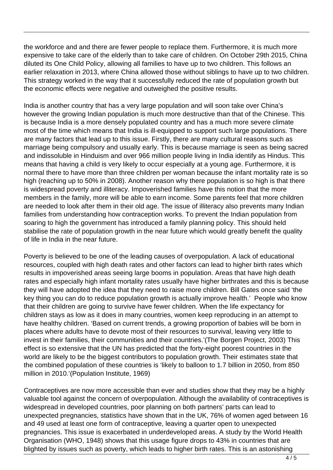the workforce and and there are fewer people to replace them. Furthermore, it is much more expensive to take care of the elderly than to take care of children. On October 29th 2015, China diluted its One Child Policy, allowing all families to have up to two children. This follows an earlier relaxation in 2013, where China allowed those without siblings to have up to two children. This strategy worked in the way that it successfully reduced the rate of population growth but the economic effects were negative and outweighed the positive results.

India is another country that has a very large population and will soon take over China's however the growing Indian population is much more destructive than that of the Chinese. This is because India is a more densely populated country and has a much more severe climate most of the time which means that India is ill-equipped to support such large populations. There are many factors that lead up to this issue. Firstly, there are many cultural reasons such as marriage being compulsory and usually early. This is because marriage is seen as being sacred and indissoluble in Hinduism and over 966 million people living in India identify as Hindus. This means that having a child is very likely to occur especially at a young age. Furthermore, it is normal there to have more than three children per woman because the infant mortality rate is so high (reaching up to 50% in 2008). Another reason why there population is so high is that there is widespread poverty and illiteracy. Impoverished families have this notion that the more members in the family, more will be able to earn income. Some parents feel that more children are needed to look after them in their old age. The issue of illiteracy also prevents many Indian families from understanding how contraception works. To prevent the Indian population from soaring to high the government has introduced a family planning policy. This should held stabilise the rate of population growth in the near future which would greatly benefit the quality of life in India in the near future.

Poverty is believed to be one of the leading causes of overpopulation. A lack of educational resources, coupled with high death rates and other factors can lead to higher birth rates which results in impoverished areas seeing large booms in population. Areas that have high death rates and especially high infant mortality rates usually have higher birthrates and this is because they will have adopted the idea that they need to raise more children. Bill Gates once said 'the key thing you can do to reduce population growth is actually improve health.' People who know that their children are going to survive have fewer children. When the life expectancy for children stays as low as it does in many countries, women keep reproducing in an attempt to have healthy children. 'Based on current trends, a growing proportion of babies will be born in places where adults have to devote most of their resources to survival, leaving very little to invest in their families, their communities and their countries.'(The Borgen Project, 2003) This effect is so extensive that the UN has predicted that the forty-eight poorest countries in the world are likely to be the biggest contributors to population growth. Their estimates state that the combined population of these countries is 'likely to balloon to 1.7 billion in 2050, from 850 million in 2010.'(Population Institute, 1969)

Contraceptives are now more accessible than ever and studies show that they may be a highly valuable tool against the concern of overpopulation. Although the availability of contraceptives is widespread in developed countries, poor planning on both partners' parts can lead to unexpected pregnancies, statistics have shown that in the UK, 76% of women aged between 16 and 49 used at least one form of contraceptive, leaving a quarter open to unexpected pregnancies. This issue is exacerbated in underdeveloped areas. A study by the World Health Organisation (WHO, 1948) shows that this usage figure drops to 43% in countries that are blighted by issues such as poverty, which leads to higher birth rates. This is an astonishing